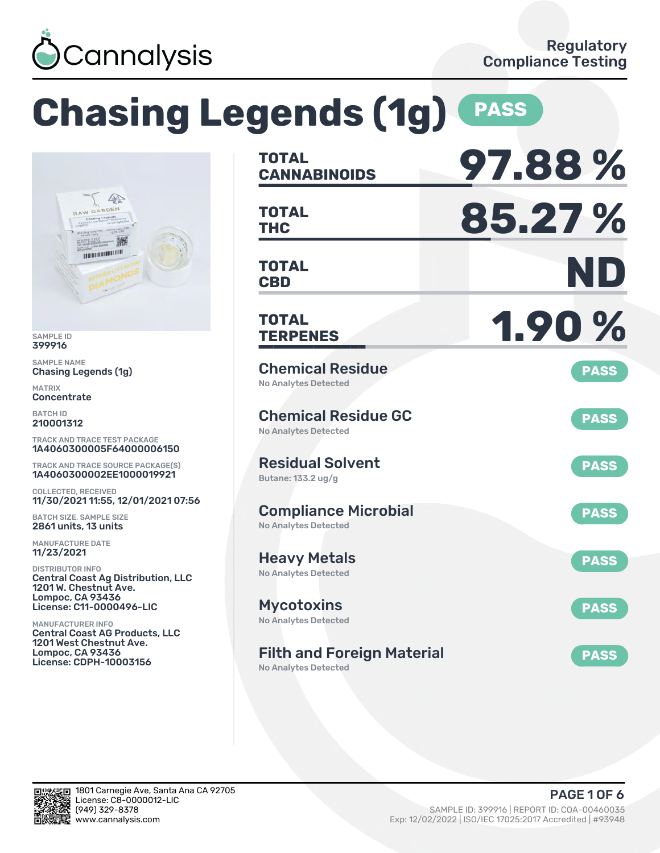

W GA

#### **Chasing Legends (1g) PASS CANNABINOIDS 97.88 % TOTAL**  $\sqrt{2}$ **THC 85.27 %** RDEN **TOTAL** 深 **THE REAL PROPERTY OF CBD ND TOTAL TERPENES 1.90 % TOTAL** Chemical Residue Chasing Legends (1g) **PASS** No Analytes Detected Chemical Residue GC **PASS** No Analytes Detected TRACK AND TRACE TEST PACKAGE 1A4060300005F64000006150 Residual Solvent TRACK AND TRACE SOURCE PACKAGE(S) **PASS** 1A4060300002EE1000019921 Butane: 133.2 ug/g COLLECTED, RECEIVED 11/30/2021 11:55, 12/01/2021 07:56 Compliance Microbial **PASS** BATCH SIZE, SAMPLE SIZE No Analytes Detected 2861 units, 13 units Heavy Metals **PASS** No Analytes Detected Central Coast Ag Distribution, LLC 1201 W. Chestnut Ave. Lompoc, CA 93436 License: C11-0000496-LIC Mycotoxins **PASS** No Analytes Detected Central Coast AG Products, LLC 1201 West Chestnut Ave. Lompoc, CA 93436 Filth and Foreign Material **PASS** License: CDPH-10003156

No Analytes Detected



SAMPLE ID 399916 SAMPLE NAME

MATRIX **Concentrate** BATCH ID 210001312

MANUFACTURE DATE 11/23/2021 DISTRIBUTOR INFO

MANUFACTURER INFO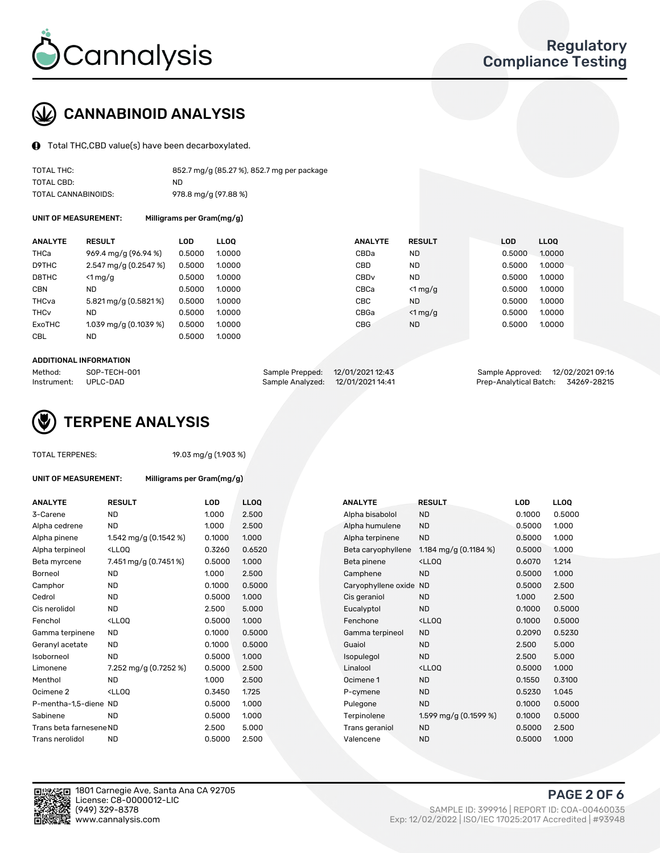

# CANNABINOID ANALYSIS

Total THC,CBD value(s) have been decarboxylated.

| TOTAL THC:          | 852.7 mg/g (85.27 %), 852.7 mg per package |
|---------------------|--------------------------------------------|
| TOTAL CBD:          | ND.                                        |
| TOTAL CANNABINOIDS: | 978.8 mg/g (97.88 %)                       |

UNIT OF MEASUREMENT: Milligrams per Gram(mg/g)

| <b>ANALYTE</b>         | <b>RESULT</b>           | LOD    | <b>LLOO</b> | <b>ANALYTE</b>   | <b>RESULT</b> | <b>LOD</b> | LL <sub>00</sub> |
|------------------------|-------------------------|--------|-------------|------------------|---------------|------------|------------------|
| THCa                   | 969.4 mg/g (96.94 %)    | 0.5000 | 1.0000      | CBDa             | <b>ND</b>     | 0.5000     | 1.0000           |
| D9THC                  | $2.547$ mg/g (0.2547 %) | 0.5000 | 1.0000      | <b>CBD</b>       | <b>ND</b>     | 0.5000     | 1.0000           |
| D8THC                  | $<$ 1 mg/g              | 0.5000 | 1.0000      | CBD <sub>v</sub> | <b>ND</b>     | 0.5000     | 1.0000           |
| <b>CBN</b>             | <b>ND</b>               | 0.5000 | 1.0000      | CBCa             | $<$ 1 mg/g    | 0.5000     | 1.0000           |
| THCva                  | 5.821 mg/g (0.5821 %)   | 0.5000 | 1.0000      | <b>CBC</b>       | <b>ND</b>     | 0.5000     | 1.0000           |
| <b>THC<sub>v</sub></b> | <b>ND</b>               | 0.5000 | 1.0000      | CBGa             | $<$ 1 mg/g    | 0.5000     | 1.0000           |
| ExoTHC                 | 1.039 mg/g (0.1039 %)   | 0.5000 | 1.0000      | <b>CBG</b>       | <b>ND</b>     | 0.5000     | 1.0000           |
| <b>CBL</b>             | <b>ND</b>               | 0.5000 | 1.0000      |                  |               |            |                  |
|                        |                         |        |             |                  |               |            |                  |

#### ADDITIONAL INFORMATION

| Method:              | SOP-TECH-001 | Sample Prepped: 12/01/2021 12:43  | Sample Approved: 12/02/2021 09:16  |  |
|----------------------|--------------|-----------------------------------|------------------------------------|--|
| Instrument: UPLC-DAD |              | Sample Analyzed: 12/01/2021 14:41 | Prep-Analytical Batch: 34269-28215 |  |



#### TOTAL TERPENES: 19.03 mg/g (1.903 %)

| UNIT OF MEASUREMENT: | Milligrams per Gram(mg/g) |  |
|----------------------|---------------------------|--|
|                      |                           |  |

| <b>ANALYTE</b>          | <b>RESULT</b>                                                                                                                                          | LOD    | <b>LLOQ</b> | <b>ANALYTE</b>         | <b>RESULT</b>                                       | LOD    | <b>LLOQ</b> |
|-------------------------|--------------------------------------------------------------------------------------------------------------------------------------------------------|--------|-------------|------------------------|-----------------------------------------------------|--------|-------------|
| 3-Carene                | <b>ND</b>                                                                                                                                              | 1.000  | 2.500       | Alpha bisabolol        | <b>ND</b>                                           | 0.1000 | 0.5000      |
| Alpha cedrene           | <b>ND</b>                                                                                                                                              | 1.000  | 2.500       | Alpha humulene         | <b>ND</b>                                           | 0.5000 | 1.000       |
| Alpha pinene            | 1.542 mg/g (0.1542 %)                                                                                                                                  | 0.1000 | 1.000       | Alpha terpinene        | <b>ND</b>                                           | 0.5000 | 1.000       |
| Alpha terpineol         | <lloq< td=""><td>0.3260</td><td>0.6520</td><td>Beta caryophyllene</td><td>1.184 mg/g <math>(0.1184\%)</math></td><td>0.5000</td><td>1.000</td></lloq<> | 0.3260 | 0.6520      | Beta caryophyllene     | 1.184 mg/g $(0.1184\%)$                             | 0.5000 | 1.000       |
| Beta myrcene            | 7.451 mg/g (0.7451 %)                                                                                                                                  | 0.5000 | 1.000       | Beta pinene            | <ll0q< td=""><td>0.6070</td><td>1.214</td></ll0q<>  | 0.6070 | 1.214       |
| <b>Borneol</b>          | <b>ND</b>                                                                                                                                              | 1.000  | 2.500       | Camphene               | <b>ND</b>                                           | 0.5000 | 1.000       |
| Camphor                 | <b>ND</b>                                                                                                                                              | 0.1000 | 0.5000      | Caryophyllene oxide ND |                                                     | 0.5000 | 2.500       |
| Cedrol                  | <b>ND</b>                                                                                                                                              | 0.5000 | 1.000       | Cis geraniol           | <b>ND</b>                                           | 1.000  | 2.500       |
| Cis nerolidol           | <b>ND</b>                                                                                                                                              | 2.500  | 5.000       | Eucalyptol             | <b>ND</b>                                           | 0.1000 | 0.5000      |
| Fenchol                 | <lloq< td=""><td>0.5000</td><td>1.000</td><td>Fenchone</td><td><lloq< td=""><td>0.1000</td><td>0.5000</td></lloq<></td></lloq<>                        | 0.5000 | 1.000       | Fenchone               | <lloq< td=""><td>0.1000</td><td>0.5000</td></lloq<> | 0.1000 | 0.5000      |
| Gamma terpinene         | <b>ND</b>                                                                                                                                              | 0.1000 | 0.5000      | Gamma terpineol        | <b>ND</b>                                           | 0.2090 | 0.5230      |
| Geranyl acetate         | <b>ND</b>                                                                                                                                              | 0.1000 | 0.5000      | Guaiol                 | <b>ND</b>                                           | 2.500  | 5.000       |
| Isoborneol              | <b>ND</b>                                                                                                                                              | 0.5000 | 1.000       | Isopulegol             | <b>ND</b>                                           | 2.500  | 5.000       |
| Limonene                | 7.252 mg/g (0.7252 %)                                                                                                                                  | 0.5000 | 2.500       | Linalool               | <ll0q< td=""><td>0.5000</td><td>1.000</td></ll0q<>  | 0.5000 | 1.000       |
| Menthol                 | <b>ND</b>                                                                                                                                              | 1.000  | 2.500       | Ocimene 1              | <b>ND</b>                                           | 0.1550 | 0.3100      |
| Ocimene <sub>2</sub>    | <lloq< td=""><td>0.3450</td><td>1.725</td><td>P-cymene</td><td><b>ND</b></td><td>0.5230</td><td>1.045</td></lloq<>                                     | 0.3450 | 1.725       | P-cymene               | <b>ND</b>                                           | 0.5230 | 1.045       |
| P-mentha-1.5-diene ND   |                                                                                                                                                        | 0.5000 | 1.000       | Pulegone               | <b>ND</b>                                           | 0.1000 | 0.5000      |
| Sabinene                | <b>ND</b>                                                                                                                                              | 0.5000 | 1.000       | Terpinolene            | 1.599 mg/g (0.1599 %)                               | 0.1000 | 0.5000      |
| Trans beta farnesene ND |                                                                                                                                                        | 2.500  | 5.000       | Trans geraniol         | <b>ND</b>                                           | 0.5000 | 2.500       |
| Trans nerolidol         | <b>ND</b>                                                                                                                                              | 0.5000 | 2.500       | Valencene              | <b>ND</b>                                           | 0.5000 | 1.000       |
|                         |                                                                                                                                                        |        |             |                        |                                                     |        |             |

| <b>ANALYTE</b>          | <b>RESULT</b>                                                                                                                                           | <b>LOD</b> | <b>LLOQ</b> | <b>ANALYTE</b>         | <b>RESULT</b>                                       | LOD    | <b>LLOQ</b> |
|-------------------------|---------------------------------------------------------------------------------------------------------------------------------------------------------|------------|-------------|------------------------|-----------------------------------------------------|--------|-------------|
| 3-Carene                | <b>ND</b>                                                                                                                                               | 1.000      | 2.500       | Alpha bisabolol        | <b>ND</b>                                           | 0.1000 | 0.5000      |
| Alpha cedrene           | <b>ND</b>                                                                                                                                               | 1.000      | 2.500       | Alpha humulene         | <b>ND</b>                                           | 0.5000 | 1.000       |
| Alpha pinene            | 1.542 mg/g $(0.1542 \%)$                                                                                                                                | 0.1000     | 1.000       | Alpha terpinene        | <b>ND</b>                                           | 0.5000 | 1.000       |
| Alpha terpineol         | <lloq< td=""><td>0.3260</td><td>0.6520</td><td>Beta caryophyllene</td><td>1.184 mg/g <math>(0.1184 \%)</math></td><td>0.5000</td><td>1.000</td></lloq<> | 0.3260     | 0.6520      | Beta caryophyllene     | 1.184 mg/g $(0.1184 \%)$                            | 0.5000 | 1.000       |
| Beta myrcene            | 7.451 mg/g (0.7451 %)                                                                                                                                   | 0.5000     | 1.000       | Beta pinene            | <ll0q< td=""><td>0.6070</td><td>1.214</td></ll0q<>  | 0.6070 | 1.214       |
| Borneol                 | <b>ND</b>                                                                                                                                               | 1.000      | 2.500       | Camphene               | <b>ND</b>                                           | 0.5000 | 1.000       |
| Camphor                 | <b>ND</b>                                                                                                                                               | 0.1000     | 0.5000      | Caryophyllene oxide ND |                                                     | 0.5000 | 2.500       |
| Cedrol                  | <b>ND</b>                                                                                                                                               | 0.5000     | 1.000       | Cis geraniol           | <b>ND</b>                                           | 1.000  | 2.500       |
| Cis nerolidol           | <b>ND</b>                                                                                                                                               | 2.500      | 5.000       | Eucalyptol             | <b>ND</b>                                           | 0.1000 | 0.5000      |
| Fenchol                 | <lloq< td=""><td>0.5000</td><td>1.000</td><td>Fenchone</td><td><lloq< td=""><td>0.1000</td><td>0.5000</td></lloq<></td></lloq<>                         | 0.5000     | 1.000       | Fenchone               | <lloq< td=""><td>0.1000</td><td>0.5000</td></lloq<> | 0.1000 | 0.5000      |
| Gamma terpinene         | <b>ND</b>                                                                                                                                               | 0.1000     | 0.5000      | Gamma terpineol        | <b>ND</b>                                           | 0.2090 | 0.5230      |
| Geranyl acetate         | <b>ND</b>                                                                                                                                               | 0.1000     | 0.5000      | Guaiol                 | <b>ND</b>                                           | 2.500  | 5.000       |
| Isoborneol              | <b>ND</b>                                                                                                                                               | 0.5000     | 1.000       | Isopulegol             | <b>ND</b>                                           | 2.500  | 5.000       |
| Limonene                | 7.252 mg/g $(0.7252 \%)$                                                                                                                                | 0.5000     | 2.500       | Linalool               | <lloq< td=""><td>0.5000</td><td>1.000</td></lloq<>  | 0.5000 | 1.000       |
| Menthol                 | <b>ND</b>                                                                                                                                               | 1.000      | 2.500       | Ocimene 1              | <b>ND</b>                                           | 0.1550 | 0.3100      |
| Ocimene 2               | <lloq< td=""><td>0.3450</td><td>1.725</td><td>P-cymene</td><td><b>ND</b></td><td>0.5230</td><td>1.045</td></lloq<>                                      | 0.3450     | 1.725       | P-cymene               | <b>ND</b>                                           | 0.5230 | 1.045       |
| P-mentha-1,5-diene ND   |                                                                                                                                                         | 0.5000     | 1.000       | Pulegone               | <b>ND</b>                                           | 0.1000 | 0.5000      |
| Sabinene                | <b>ND</b>                                                                                                                                               | 0.5000     | 1.000       | Terpinolene            | 1.599 mg/g (0.1599 %)                               | 0.1000 | 0.5000      |
| Trans beta farnesene ND |                                                                                                                                                         | 2.500      | 5.000       | Trans geraniol         | <b>ND</b>                                           | 0.5000 | 2.500       |
| Trans nerolidol         | <b>ND</b>                                                                                                                                               | 0.5000     | 2.500       | Valencene              | <b>ND</b>                                           | 0.5000 | 1.000       |



1801 Carnegie Ave, Santa Ana CA 92705 License: C8-0000012-LIC<br>(949) 329-8378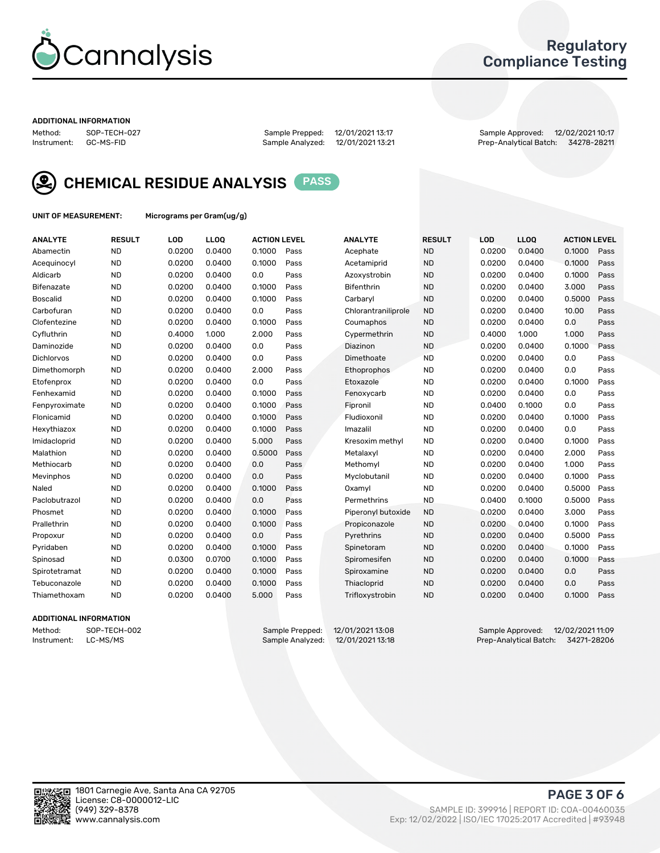

### Regulatory Compliance Testing

#### ADDITIONAL INFORMATION

Method: SOP-TECH-027 Sample Prepped: 12/01/2021 13:17 Sample Approved: 12/02/2021 10:17 Prep-Analytical Batch: 34278-28211



CHEMICAL RESIDUE ANALYSIS PASS

UNIT OF MEASUREMENT: Micrograms per Gram(ug/g)

| <b>ANALYTE</b>    | <b>RESULT</b> | LOD    | LLOQ   | <b>ACTION LEVEL</b> |      | <b>ANALYTE</b>      | <b>RESULT</b> | LOD    | <b>LLOQ</b> | <b>ACTION LEVEL</b> |      |
|-------------------|---------------|--------|--------|---------------------|------|---------------------|---------------|--------|-------------|---------------------|------|
| Abamectin         | <b>ND</b>     | 0.0200 | 0.0400 | 0.1000              | Pass | Acephate            | <b>ND</b>     | 0.0200 | 0.0400      | 0.1000              | Pass |
| Acequinocyl       | <b>ND</b>     | 0.0200 | 0.0400 | 0.1000              | Pass | Acetamiprid         | <b>ND</b>     | 0.0200 | 0.0400      | 0.1000              | Pass |
| Aldicarb          | <b>ND</b>     | 0.0200 | 0.0400 | 0.0                 | Pass | Azoxystrobin        | <b>ND</b>     | 0.0200 | 0.0400      | 0.1000              | Pass |
| Bifenazate        | <b>ND</b>     | 0.0200 | 0.0400 | 0.1000              | Pass | <b>Bifenthrin</b>   | <b>ND</b>     | 0.0200 | 0.0400      | 3.000               | Pass |
| <b>Boscalid</b>   | <b>ND</b>     | 0.0200 | 0.0400 | 0.1000              | Pass | Carbarvl            | <b>ND</b>     | 0.0200 | 0.0400      | 0.5000              | Pass |
| Carbofuran        | <b>ND</b>     | 0.0200 | 0.0400 | 0.0                 | Pass | Chlorantraniliprole | <b>ND</b>     | 0.0200 | 0.0400      | 10.00               | Pass |
| Clofentezine      | <b>ND</b>     | 0.0200 | 0.0400 | 0.1000              | Pass | Coumaphos           | <b>ND</b>     | 0.0200 | 0.0400      | 0.0                 | Pass |
| Cyfluthrin        | <b>ND</b>     | 0.4000 | 1.000  | 2.000               | Pass | Cypermethrin        | <b>ND</b>     | 0.4000 | 1.000       | 1.000               | Pass |
| Daminozide        | <b>ND</b>     | 0.0200 | 0.0400 | 0.0                 | Pass | Diazinon            | <b>ND</b>     | 0.0200 | 0.0400      | 0.1000              | Pass |
| <b>Dichlorvos</b> | <b>ND</b>     | 0.0200 | 0.0400 | 0.0                 | Pass | Dimethoate          | <b>ND</b>     | 0.0200 | 0.0400      | 0.0                 | Pass |
| Dimethomorph      | <b>ND</b>     | 0.0200 | 0.0400 | 2.000               | Pass | <b>Ethoprophos</b>  | <b>ND</b>     | 0.0200 | 0.0400      | 0.0                 | Pass |
| Etofenprox        | <b>ND</b>     | 0.0200 | 0.0400 | 0.0                 | Pass | Etoxazole           | <b>ND</b>     | 0.0200 | 0.0400      | 0.1000              | Pass |
| Fenhexamid        | <b>ND</b>     | 0.0200 | 0.0400 | 0.1000              | Pass | Fenoxycarb          | <b>ND</b>     | 0.0200 | 0.0400      | 0.0                 | Pass |
| Fenpyroximate     | <b>ND</b>     | 0.0200 | 0.0400 | 0.1000              | Pass | Fipronil            | <b>ND</b>     | 0.0400 | 0.1000      | 0.0                 | Pass |
| Flonicamid        | <b>ND</b>     | 0.0200 | 0.0400 | 0.1000              | Pass | Fludioxonil         | <b>ND</b>     | 0.0200 | 0.0400      | 0.1000              | Pass |
| Hexythiazox       | <b>ND</b>     | 0.0200 | 0.0400 | 0.1000              | Pass | Imazalil            | <b>ND</b>     | 0.0200 | 0.0400      | 0.0                 | Pass |
| Imidacloprid      | <b>ND</b>     | 0.0200 | 0.0400 | 5.000               | Pass | Kresoxim methyl     | <b>ND</b>     | 0.0200 | 0.0400      | 0.1000              | Pass |
| Malathion         | <b>ND</b>     | 0.0200 | 0.0400 | 0.5000              | Pass | Metalaxyl           | <b>ND</b>     | 0.0200 | 0.0400      | 2.000               | Pass |
| Methiocarb        | <b>ND</b>     | 0.0200 | 0.0400 | 0.0                 | Pass | Methomyl            | <b>ND</b>     | 0.0200 | 0.0400      | 1.000               | Pass |
| Mevinphos         | <b>ND</b>     | 0.0200 | 0.0400 | 0.0                 | Pass | Myclobutanil        | <b>ND</b>     | 0.0200 | 0.0400      | 0.1000              | Pass |
| Naled             | <b>ND</b>     | 0.0200 | 0.0400 | 0.1000              | Pass | Oxamyl              | <b>ND</b>     | 0.0200 | 0.0400      | 0.5000              | Pass |
| Paclobutrazol     | <b>ND</b>     | 0.0200 | 0.0400 | 0.0                 | Pass | Permethrins         | <b>ND</b>     | 0.0400 | 0.1000      | 0.5000              | Pass |
| Phosmet           | <b>ND</b>     | 0.0200 | 0.0400 | 0.1000              | Pass | Piperonyl butoxide  | <b>ND</b>     | 0.0200 | 0.0400      | 3.000               | Pass |
| Prallethrin       | <b>ND</b>     | 0.0200 | 0.0400 | 0.1000              | Pass | Propiconazole       | <b>ND</b>     | 0.0200 | 0.0400      | 0.1000              | Pass |
| Propoxur          | <b>ND</b>     | 0.0200 | 0.0400 | 0.0                 | Pass | Pyrethrins          | <b>ND</b>     | 0.0200 | 0.0400      | 0.5000              | Pass |
| Pyridaben         | <b>ND</b>     | 0.0200 | 0.0400 | 0.1000              | Pass | Spinetoram          | <b>ND</b>     | 0.0200 | 0.0400      | 0.1000              | Pass |
| Spinosad          | <b>ND</b>     | 0.0300 | 0.0700 | 0.1000              | Pass | Spiromesifen        | <b>ND</b>     | 0.0200 | 0.0400      | 0.1000              | Pass |
| Spirotetramat     | <b>ND</b>     | 0.0200 | 0.0400 | 0.1000              | Pass | Spiroxamine         | <b>ND</b>     | 0.0200 | 0.0400      | 0.0                 | Pass |
| Tebuconazole      | <b>ND</b>     | 0.0200 | 0.0400 | 0.1000              | Pass | Thiacloprid         | <b>ND</b>     | 0.0200 | 0.0400      | 0.0                 | Pass |
| Thiamethoxam      | <b>ND</b>     | 0.0200 | 0.0400 | 5.000               | Pass | Trifloxystrobin     | <b>ND</b>     | 0.0200 | 0.0400      | 0.1000              | Pass |
|                   |               |        |        |                     |      |                     |               |        |             |                     |      |

### ADDITIONAL INFORMATION

Method: SOP-TECH-002 Sample Prepped: 12/01/2021 13:08 Sample Approved: 12/02/2021 11:09<br>Instrument: LC-MS/MS Sample Analyzed: 12/01/2021 13:18 Prep-Analytical Batch: 34271-28206 Prep-Analytical Batch: 34271-28206

PAGE 3 OF 6

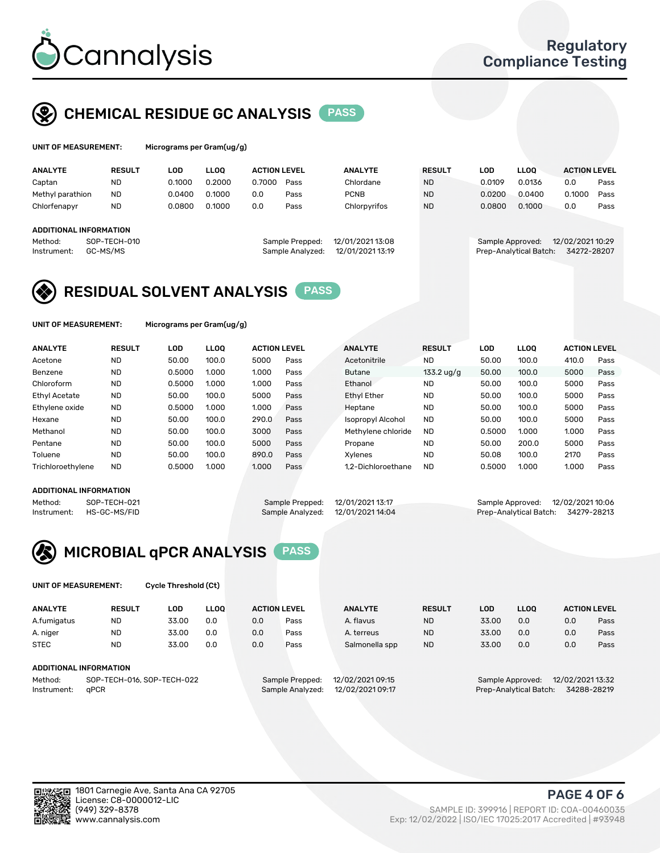

# CHEMICAL RESIDUE GC ANALYSIS PASS

| UNIT OF MEASUREMENT: |               | Micrograms per Gram(ug/g) |             |             |
|----------------------|---------------|---------------------------|-------------|-------------|
| <b>ANALYTE</b>       | <b>RESULT</b> | LOD                       | <b>LLOO</b> | <b>ACTI</b> |

| <b>ANALYTE</b>         | <b>RESULT</b> | LOD    | LLOO   | <b>ACTION LEVEL</b> |                  | <b>ANALYTE</b>   | <b>RESULT</b> | LOD    | <b>LLOO</b>            |                  | <b>ACTION LEVEL</b> |      |
|------------------------|---------------|--------|--------|---------------------|------------------|------------------|---------------|--------|------------------------|------------------|---------------------|------|
| Captan                 | <b>ND</b>     | 0.1000 | 0.2000 | 0.7000              | Pass             | Chlordane        | <b>ND</b>     | 0.0109 | 0.0136                 | 0.0              |                     | Pass |
| Methyl parathion       | <b>ND</b>     | 0.0400 | 0.1000 | 0.0                 | Pass             | <b>PCNB</b>      | <b>ND</b>     | 0.0200 | 0.0400                 | 0.1000           |                     | Pass |
| Chlorfenapyr           | <b>ND</b>     | 0.0800 | 0.1000 | 0.0                 | Pass             | Chlorpyrifos     | <b>ND</b>     | 0.0800 | 0.1000                 | 0.0              |                     | Pass |
|                        |               |        |        |                     |                  |                  |               |        |                        |                  |                     |      |
| ADDITIONAL INFORMATION |               |        |        |                     |                  |                  |               |        |                        |                  |                     |      |
| Method:                | SOP-TECH-010  |        |        |                     | Sample Prepped:  | 12/01/2021 13:08 |               |        | Sample Approved:       | 12/02/2021 10:29 |                     |      |
| Instrument:            | GC-MS/MS      |        |        |                     | Sample Analyzed: | 12/01/2021 13:19 |               |        | Prep-Analytical Batch: |                  | 34272-28207         |      |
|                        |               |        |        |                     |                  |                  |               |        |                        |                  |                     |      |

# RESIDUAL SOLVENT ANALYSIS PASS

UNIT OF MEASUREMENT: Micrograms per Gram(ug/g)

| <b>ANALYTE</b>       | <b>RESULT</b> | LOD    | <b>LLOO</b> | <b>ACTION LEVEL</b> |      | <b>ANALYTE</b>           | <b>RESULT</b>        | LOD    | <b>LLOO</b> | <b>ACTION LEVEL</b> |      |
|----------------------|---------------|--------|-------------|---------------------|------|--------------------------|----------------------|--------|-------------|---------------------|------|
| Acetone              | <b>ND</b>     | 50.00  | 100.0       | 5000                | Pass | Acetonitrile             | <b>ND</b>            | 50.00  | 100.0       | 410.0               | Pass |
| Benzene              | <b>ND</b>     | 0.5000 | 1.000       | 1.000               | Pass | Butane                   | $133.2 \text{ ug/g}$ | 50.00  | 100.0       | 5000                | Pass |
| Chloroform           | <b>ND</b>     | 0.5000 | 1.000       | 1.000               | Pass | Ethanol                  | <b>ND</b>            | 50.00  | 100.0       | 5000                | Pass |
| <b>Ethyl Acetate</b> | <b>ND</b>     | 50.00  | 100.0       | 5000                | Pass | <b>Ethyl Ether</b>       | <b>ND</b>            | 50.00  | 100.0       | 5000                | Pass |
| Ethylene oxide       | <b>ND</b>     | 0.5000 | 1.000       | 1.000               | Pass | Heptane                  | <b>ND</b>            | 50.00  | 100.0       | 5000                | Pass |
| Hexane               | <b>ND</b>     | 50.00  | 100.0       | 290.0               | Pass | <b>Isopropyl Alcohol</b> | <b>ND</b>            | 50.00  | 100.0       | 5000                | Pass |
| Methanol             | <b>ND</b>     | 50.00  | 100.0       | 3000                | Pass | Methylene chloride       | <b>ND</b>            | 0.5000 | 1.000       | 1.000               | Pass |
| Pentane              | <b>ND</b>     | 50.00  | 100.0       | 5000                | Pass | Propane                  | <b>ND</b>            | 50.00  | 200.0       | 5000                | Pass |
| Toluene              | <b>ND</b>     | 50.00  | 100.0       | 890.0               | Pass | Xvlenes                  | <b>ND</b>            | 50.08  | 100.0       | 2170                | Pass |
| Trichloroethylene    | <b>ND</b>     | 0.5000 | 1.000       | 1.000               | Pass | 1.2-Dichloroethane       | <b>ND</b>            | 0.5000 | 1.000       | 1.000               | Pass |

### ADDITIONAL INFORMATION

| ADDITIONAL INFORMATION |              |                                  |                                   |                                    |  |
|------------------------|--------------|----------------------------------|-----------------------------------|------------------------------------|--|
| Method:                | SOP-TECH-021 | Sample Prepped: 12/01/2021 13:17 |                                   | Sample Approved: 12/02/2021 10:06  |  |
| Instrument:            | HS-GC-MS/FID |                                  | Sample Analyzed: 12/01/2021 14:04 | Prep-Analytical Batch: 34279-28213 |  |



UNIT OF MEASUREMENT: Cycle Threshold (Ct)

| <b>ANALYTE</b> | <b>RESULT</b>              | LOD   | <b>LLOO</b> |     | <b>ACTION LEVEL</b> | <b>ANALYTE</b>   | <b>RESULT</b> | <b>LOD</b> | <b>LLOO</b>            |                  | <b>ACTION LEVEL</b> |
|----------------|----------------------------|-------|-------------|-----|---------------------|------------------|---------------|------------|------------------------|------------------|---------------------|
| A.fumigatus    | <b>ND</b>                  | 33.00 | 0.0         | 0.0 | Pass                | A. flavus        | <b>ND</b>     | 33.00      | 0.0                    | 0.0              | Pass                |
| A. niger       | <b>ND</b>                  | 33.00 | 0.0         | 0.0 | Pass                | A. terreus       | <b>ND</b>     | 33.00      | 0.0                    | 0.0              | Pass                |
| <b>STEC</b>    | <b>ND</b>                  | 33.00 | 0.0         | 0.0 | Pass                | Salmonella spp   | <b>ND</b>     | 33.00      | 0.0                    | 0.0              | Pass                |
|                | ADDITIONAL INFORMATION     |       |             |     |                     |                  |               |            |                        |                  |                     |
| Method:        | SOP-TECH-016, SOP-TECH-022 |       |             |     | Sample Prepped:     | 12/02/2021 09:15 |               |            | Sample Approved:       | 12/02/2021 13:32 |                     |
| Instrument:    | aPCR                       |       |             |     | Sample Analyzed:    | 12/02/2021 09:17 |               |            | Prep-Analytical Batch: |                  | 34288-28219         |

PAGE 4 OF 6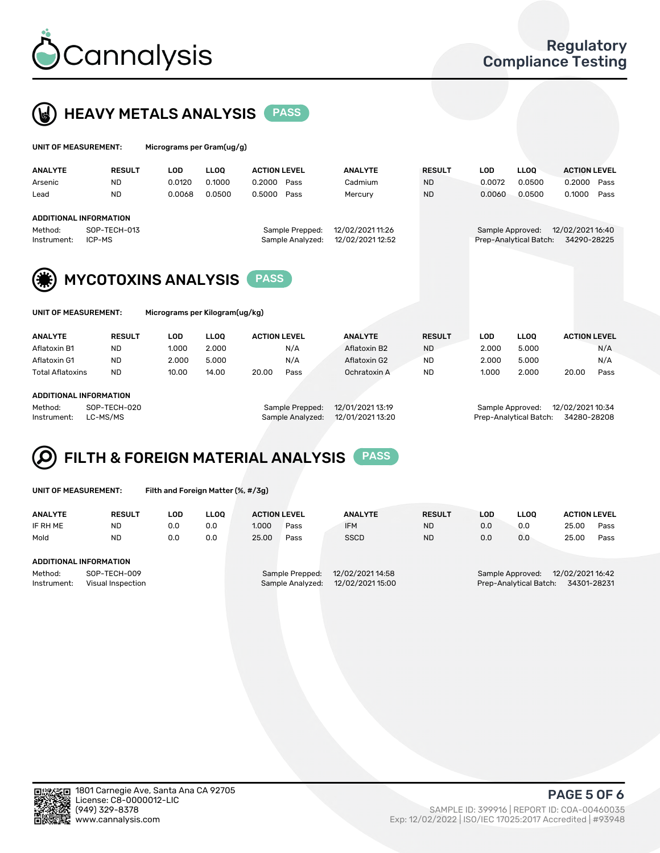



| UNIT OF MEASUREMENT:                                   |                            | Micrograms per Gram(ug/g) |             |                     |                  |                  |               |            |                        |                     |      |
|--------------------------------------------------------|----------------------------|---------------------------|-------------|---------------------|------------------|------------------|---------------|------------|------------------------|---------------------|------|
| <b>ANALYTE</b>                                         | <b>RESULT</b>              | LOD                       | <b>LLOO</b> | <b>ACTION LEVEL</b> |                  | <b>ANALYTE</b>   | <b>RESULT</b> | <b>LOD</b> | <b>LLOQ</b>            | <b>ACTION LEVEL</b> |      |
| Arsenic                                                | <b>ND</b>                  | 0.0120                    | 0.1000      | 0.2000              | Pass             | Cadmium          | <b>ND</b>     | 0.0072     | 0.0500                 | 0.2000              | Pass |
| Lead                                                   | <b>ND</b>                  | 0.0068                    | 0.0500      | 0.5000              | Pass             | Mercury          | <b>ND</b>     | 0.0060     | 0.0500                 | 0.1000              | Pass |
| <b>ADDITIONAL INFORMATION</b>                          |                            |                           |             |                     |                  |                  |               |            |                        |                     |      |
| Method:                                                | SOP-TECH-013               |                           |             |                     | Sample Prepped:  | 12/02/2021 11:26 |               |            | Sample Approved:       | 12/02/2021 16:40    |      |
| Instrument:                                            | ICP-MS                     |                           |             |                     | Sample Analyzed: | 12/02/2021 12:52 |               |            | Prep-Analytical Batch: | 34290-28225         |      |
| (業)                                                    | <b>MYCOTOXINS ANALYSIS</b> |                           |             |                     |                  |                  |               |            |                        |                     |      |
| UNIT OF MEASUREMENT:<br>Micrograms per Kilogram(ug/kg) |                            |                           |             |                     |                  |                  |               |            |                        |                     |      |

| <b>ANALYTE</b>                | <b>RESULT</b> | LOD   | <b>LLOO</b>     | <b>ACTION LEVEL</b> | <b>ANALYTE</b> | <b>RESULT</b>    | LOD   | <b>LLOO</b>      | <b>ACTION LEVEL</b> |      |
|-------------------------------|---------------|-------|-----------------|---------------------|----------------|------------------|-------|------------------|---------------------|------|
| Aflatoxin B1                  | ND            | 1.000 | 2.000           | N/A                 | Aflatoxin B2   | <b>ND</b>        | 2.000 | 5.000            | N/A                 |      |
| Aflatoxin G1                  | <b>ND</b>     | 2.000 | 5.000           | N/A                 | Aflatoxin G2   | <b>ND</b>        | 2.000 | 5.000            | N/A                 |      |
| <b>Total Aflatoxins</b>       | <b>ND</b>     | 10.00 | 14.00           | 20.00<br>Pass       | Ochratoxin A   | <b>ND</b>        | 1.000 | 2.000            | 20.00               | Pass |
| <b>ADDITIONAL INFORMATION</b> |               |       |                 |                     |                |                  |       |                  |                     |      |
| SOP-TECH-020<br>Method:       |               |       | Sample Prepped: | 12/01/2021 13:19    |                | Sample Approved: |       | 12/02/2021 10:34 |                     |      |

Instrument: LC-MS/MS Sample Analyzed: 12/01/2021 13:20 Prep-Analytical Batch: 34280-28208

### FILTH & FOREIGN MATERIAL ANALYSIS PASS Q

|  | UNIT OF MEASUREMENT: |
|--|----------------------|
|  |                      |

Filth and Foreign Matter (%, #/3g)

| <b>ANALYTE</b>                                              | <b>RESULT</b> | LOD | <b>LLOO</b> | <b>ACTION LEVEL</b> |                                     | <b>ANALYTE</b>                       | <b>RESULT</b> | LOD | LLOO                                       | <b>ACTION LEVEL</b>             |      |
|-------------------------------------------------------------|---------------|-----|-------------|---------------------|-------------------------------------|--------------------------------------|---------------|-----|--------------------------------------------|---------------------------------|------|
| IF RH ME                                                    | <b>ND</b>     | 0.0 | 0.0         | 1.000               | Pass                                | <b>IFM</b>                           | <b>ND</b>     | 0.0 | 0.0                                        | 25.00                           | Pass |
| Mold                                                        | <b>ND</b>     | 0.0 | 0.0         | 25.00               | Pass                                | <b>SSCD</b>                          | <b>ND</b>     | 0.0 | 0.0                                        | 25.00                           | Pass |
| ADDITIONAL INFORMATION                                      |               |     |             |                     |                                     |                                      |               |     |                                            |                                 |      |
| Method:<br>SOP-TECH-009<br>Instrument:<br>Visual Inspection |               |     |             |                     | Sample Prepped:<br>Sample Analyzed: | 12/02/2021 14:58<br>12/02/2021 15:00 |               |     | Sample Approved:<br>Prep-Analytical Batch: | 12/02/2021 16:42<br>34301-28231 |      |